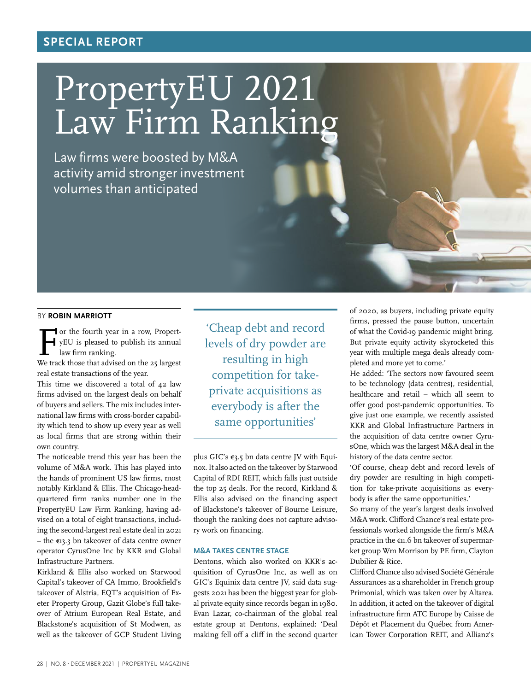## **SPECIAL REPORT**

# PropertyEU 2021 Law Firm Ranking

Law firms were boosted by M&A activity amid stronger investment volumes than anticipated

#### BY **ROBIN MARRIOTT**

For the fourth year in a row, Propert-<br>yEU is pleased to publish its annual<br>law firm ranking. yEU is pleased to publish its annual law firm ranking.

We track those that advised on the 25 largest real estate transactions of the year.

This time we discovered a total of 42 law firms advised on the largest deals on behalf of buyers and sellers. The mix includes international law firms with cross-border capability which tend to show up every year as well as local firms that are strong within their own country.

The noticeable trend this year has been the volume of M&A work. This has played into the hands of prominent US law firms, most notably Kirkland & Ellis. The Chicago-headquartered firm ranks number one in the PropertyEU Law Firm Ranking, having advised on a total of eight transactions, including the second-largest real estate deal in 2021 – the €13.3 bn takeover of data centre owner operator CyrusOne Inc by KKR and Global Infrastructure Partners.

Kirkland & Ellis also worked on Starwood Capital's takeover of CA Immo, Brookfield's takeover of Alstria, EQT's acquisition of Exeter Property Group, Gazit Globe's full takeover of Atrium European Real Estate, and Blackstone's acquisition of St Modwen, as well as the takeover of GCP Student Living

'Cheap debt and record levels of dry powder are resulting in high competition for takeprivate acquisitions as everybody is after the same opportunities'

plus GIC's €3.5 bn data centre JV with Equinox. It also acted on the takeover by Starwood Capital of RDI REIT, which falls just outside the top 25 deals. For the record, Kirkland & Ellis also advised on the financing aspect of Blackstone's takeover of Bourne Leisure, though the ranking does not capture advisory work on financing.

#### **M&A TAKES CENTRE STAGE**

Dentons, which also worked on KKR's acquisition of CyrusOne Inc, as well as on GIC's Equinix data centre JV, said data suggests 2021 has been the biggest year for global private equity since records began in 1980. Evan Lazar, co-chairman of the global real estate group at Dentons, explained: 'Deal making fell off a cliff in the second quarter

of 2020, as buyers, including private equity firms, pressed the pause button, uncertain of what the Covid-19 pandemic might bring. But private equity activity skyrocketed this year with multiple mega deals already completed and more yet to come.'

He added: 'The sectors now favoured seem to be technology (data centres), residential, healthcare and retail – which all seem to offer good post-pandemic opportunities. To give just one example, we recently assisted KKR and Global Infrastructure Partners in the acquisition of data centre owner CyrusOne, which was the largest M&A deal in the history of the data centre sector.

'Of course, cheap debt and record levels of dry powder are resulting in high competition for take-private acquisitions as everybody is after the same opportunities.'

So many of the year's largest deals involved M&A work. Clifford Chance's real estate professionals worked alongside the firm's M&A practice in the €11.6 bn takeover of supermarket group Wm Morrison by PE firm, Clayton Dubilier & Rice.

Clifford Chance also advised Société Générale Assurances as a shareholder in French group Primonial, which was taken over by Altarea. In addition, it acted on the takeover of digital infrastructure firm ATC Europe by Caisse de Dépôt et Placement du Québec from American Tower Corporation REIT, and Allianz's